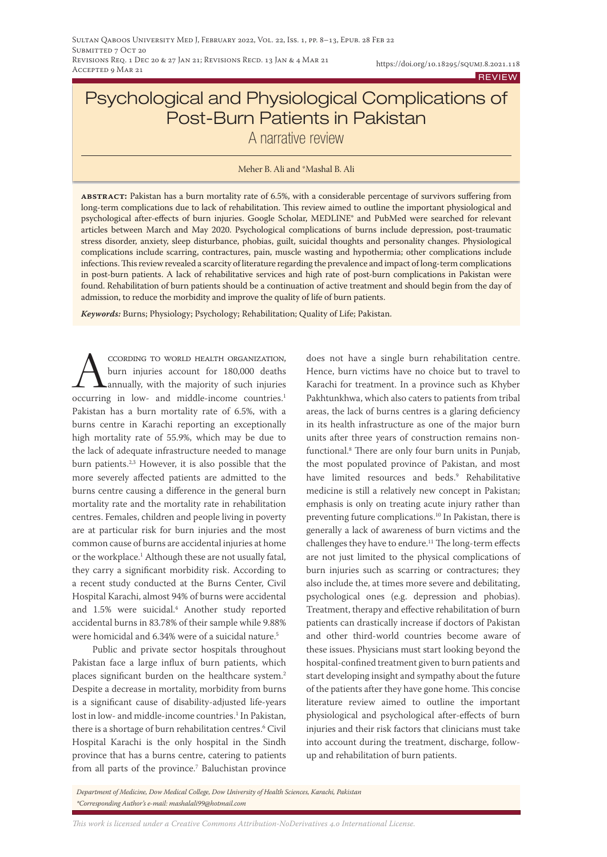# Psychological and Physiological Complications of Post-Burn Patients in Pakistan A narrative review

#### Meher B. Ali and \*Mashal B. Ali

**abstract:** Pakistan has a burn mortality rate of 6.5%, with a considerable percentage of survivors suffering from long-term complications due to lack of rehabilitation. This review aimed to outline the important physiological and psychological after-effects of burn injuries. Google Scholar, MEDLINE® and PubMed were searched for relevant articles between March and May 2020. Psychological complications of burns include depression, post-traumatic stress disorder, anxiety, sleep disturbance, phobias, guilt, suicidal thoughts and personality changes. Physiological complications include scarring, contractures, pain, muscle wasting and hypothermia; other complications include infections. This review revealed a scarcity of literature regarding the prevalence and impact of long-term complications in post-burn patients. A lack of rehabilitative services and high rate of post-burn complications in Pakistan were found. Rehabilitation of burn patients should be a continuation of active treatment and should begin from the day of admission, to reduce the morbidity and improve the quality of life of burn patients.

*Keywords:* Burns; Physiology; Psychology; Rehabilitation; Quality of Life; Pakistan.

CCORDING TO WORLD HEALTH ORGANIZATION, burn injuries account for 180,000 deaths annually, with the majority of such injuries occurring in low- and middle-income countries.<sup>1</sup> Pakistan has a burn mortality rate of 6.5%, with a burns centre in Karachi reporting an exceptionally high mortality rate of 55.9%, which may be due to the lack of adequate infrastructure needed to manage burn patients.<sup>2,3</sup> However, it is also possible that the more severely affected patients are admitted to the burns centre causing a difference in the general burn mortality rate and the mortality rate in rehabilitation centres. Females, children and people living in poverty are at particular risk for burn injuries and the most common cause of burns are accidental injuries at home or the workplace.1 Although these are not usually fatal, they carry a significant morbidity risk. According to a recent study conducted at the Burns Center, Civil Hospital Karachi, almost 94% of burns were accidental and 1.5% were suicidal.4 Another study reported accidental burns in 83.78% of their sample while 9.88% were homicidal and 6.34% were of a suicidal nature.<sup>5</sup>

Public and private sector hospitals throughout Pakistan face a large influx of burn patients, which places significant burden on the healthcare system.<sup>2</sup> Despite a decrease in mortality, morbidity from burns is a significant cause of disability-adjusted life-years lost in low- and middle-income countries.<sup>1</sup> In Pakistan, there is a shortage of burn rehabilitation centres.6 Civil Hospital Karachi is the only hospital in the Sindh province that has a burns centre, catering to patients from all parts of the province.7 Baluchistan province

does not have a single burn rehabilitation centre. Hence, burn victims have no choice but to travel to Karachi for treatment. In a province such as Khyber Pakhtunkhwa, which also caters to patients from tribal areas, the lack of burns centres is a glaring deficiency in its health infrastructure as one of the major burn units after three years of construction remains nonfunctional.8 There are only four burn units in Punjab, the most populated province of Pakistan, and most have limited resources and beds.9 Rehabilitative medicine is still a relatively new concept in Pakistan; emphasis is only on treating acute injury rather than preventing future complications.10 In Pakistan, there is generally a lack of awareness of burn victims and the challenges they have to endure.11 The long-term effects are not just limited to the physical complications of burn injuries such as scarring or contractures; they also include the, at times more severe and debilitating, psychological ones (e.g. depression and phobias). Treatment, therapy and effective rehabilitation of burn patients can drastically increase if doctors of Pakistan and other third-world countries become aware of these issues. Physicians must start looking beyond the hospital-confined treatment given to burn patients and start developing insight and sympathy about the future of the patients after they have gone home. This concise literature review aimed to outline the important physiological and psychological after-effects of burn injuries and their risk factors that clinicians must take into account during the treatment, discharge, followup and rehabilitation of burn patients.

*Department of Medicine, Dow Medical College, Dow University of Health Sciences, Karachi, Pakistan \*Corresponding Author's e-mail: mashalali99@hotmail.com*

*This work is licensed under a [Creative Commons Attribution-NoDerivatives 4.0 International License.](https://creativecommons.org/licenses/by-nd/4.0/)*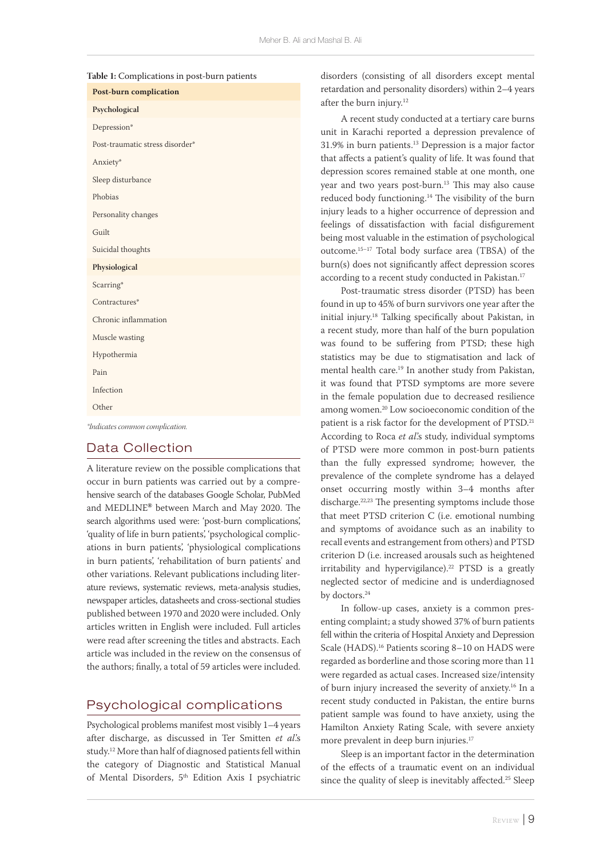|  | Table 1: Complications in post-burn patients |
|--|----------------------------------------------|
|--|----------------------------------------------|

| <b>Post-burn complication</b>   |
|---------------------------------|
| Psychological                   |
| Depression*                     |
| Post-traumatic stress disorder* |
| Anxiety*                        |
| Sleep disturbance               |
| Phobias                         |
| Personality changes             |
| Guilt                           |
| Suicidal thoughts               |
| Physiological                   |
| Scarring*                       |
| Contractures*                   |
| Chronic inflammation            |
| Muscle wasting                  |
| Hypothermia                     |
| Pain                            |
| Infection                       |
| Other                           |
| Indicates common complication   |

# Data Collection

A literature review on the possible complications that occur in burn patients was carried out by a comprehensive search of the databases Google Scholar, PubMed and MEDLINE**®** between March and May 2020. The search algorithms used were: 'post-burn complications', 'quality of life in burn patients', 'psychological complications in burn patients', 'physiological complications in burn patients', 'rehabilitation of burn patients' and other variations. Relevant publications including literature reviews, systematic reviews, meta-analysis studies, newspaper articles, datasheets and cross-sectional studies published between 1970 and 2020 were included. Only articles written in English were included. Full articles were read after screening the titles and abstracts. Each article was included in the review on the consensus of the authors; finally, a total of 59 articles were included.

## Psychological complications

Psychological problems manifest most visibly 1–4 years after discharge, as discussed in Ter Smitten *et al*.'s study.12 More than half of diagnosed patients fell within the category of Diagnostic and Statistical Manual of Mental Disorders, 5<sup>th</sup> Edition Axis I psychiatric disorders (consisting of all disorders except mental retardation and personality disorders) within 2–4 years after the burn injury.12

A recent study conducted at a tertiary care burns unit in Karachi reported a depression prevalence of 31.9% in burn patients.13 Depression is a major factor that affects a patient's quality of life. It was found that depression scores remained stable at one month, one year and two years post-burn.<sup>13</sup> This may also cause reduced body functioning.14 The visibility of the burn injury leads to a higher occurrence of depression and feelings of dissatisfaction with facial disfigurement being most valuable in the estimation of psychological outcome.15–17 Total body surface area (TBSA) of the burn(s) does not significantly affect depression scores according to a recent study conducted in Pakistan.<sup>17</sup>

Post-traumatic stress disorder (PTSD) has been found in up to 45% of burn survivors one year after the initial injury.18 Talking specifically about Pakistan, in a recent study, more than half of the burn population was found to be suffering from PTSD; these high statistics may be due to stigmatisation and lack of mental health care.19 In another study from Pakistan, it was found that PTSD symptoms are more severe in the female population due to decreased resilience among women.20 Low socioeconomic condition of the patient is a risk factor for the development of PTSD.<sup>21</sup> According to Roca *et al*.'s study, individual symptoms of PTSD were more common in post-burn patients than the fully expressed syndrome; however, the prevalence of the complete syndrome has a delayed onset occurring mostly within 3–4 months after discharge.22,23 The presenting symptoms include those that meet PTSD criterion C (i.e. emotional numbing and symptoms of avoidance such as an inability to recall events and estrangement from others) and PTSD criterion D (i.e. increased arousals such as heightened irritability and hypervigilance).<sup>22</sup> PTSD is a greatly neglected sector of medicine and is underdiagnosed by doctors.<sup>24</sup>

In follow-up cases, anxiety is a common presenting complaint; a study showed 37% of burn patients fell within the criteria of Hospital Anxiety and Depression Scale (HADS).<sup>16</sup> Patients scoring 8-10 on HADS were regarded as borderline and those scoring more than 11 were regarded as actual cases. Increased size/intensity of burn injury increased the severity of anxiety.16 In a recent study conducted in Pakistan, the entire burns patient sample was found to have anxiety, using the Hamilton Anxiety Rating Scale, with severe anxiety more prevalent in deep burn injuries.<sup>17</sup>

Sleep is an important factor in the determination of the effects of a traumatic event on an individual since the quality of sleep is inevitably affected.<sup>25</sup> Sleep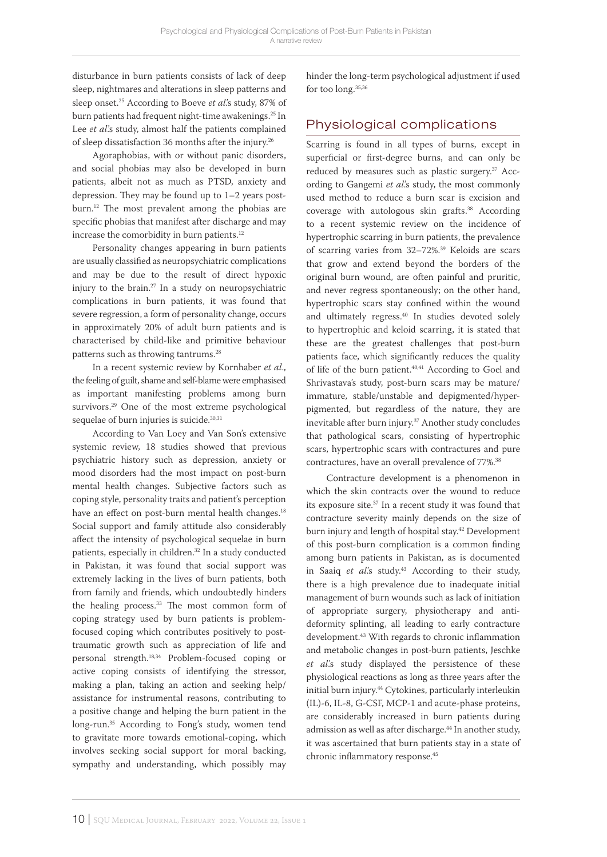disturbance in burn patients consists of lack of deep sleep, nightmares and alterations in sleep patterns and sleep onset.25 According to Boeve *et al*.'s study, 87% of burn patients had frequent night-time awakenings.25 In Lee *et al*.'s study, almost half the patients complained of sleep dissatisfaction 36 months after the injury.26

Agoraphobias, with or without panic disorders, and social phobias may also be developed in burn patients, albeit not as much as PTSD, anxiety and depression. They may be found up to 1–2 years postburn.12 The most prevalent among the phobias are specific phobias that manifest after discharge and may increase the comorbidity in burn patients.<sup>12</sup>

Personality changes appearing in burn patients are usually classified as neuropsychiatric complications and may be due to the result of direct hypoxic injury to the brain.27 In a study on neuropsychiatric complications in burn patients, it was found that severe regression, a form of personality change, occurs in approximately 20% of adult burn patients and is characterised by child-like and primitive behaviour patterns such as throwing tantrums.28

In a recent systemic review by Kornhaber *et al*., the feeling of guilt, shame and self-blame were emphasised as important manifesting problems among burn survivors.29 One of the most extreme psychological sequelae of burn injuries is suicide.<sup>30,31</sup>

According to Van Loey and Van Son's extensive systemic review, 18 studies showed that previous psychiatric history such as depression, anxiety or mood disorders had the most impact on post-burn mental health changes. Subjective factors such as coping style, personality traits and patient's perception have an effect on post-burn mental health changes.<sup>18</sup> Social support and family attitude also considerably affect the intensity of psychological sequelae in burn patients, especially in children.32 In a study conducted in Pakistan, it was found that social support was extremely lacking in the lives of burn patients, both from family and friends, which undoubtedly hinders the healing process.<sup>33</sup> The most common form of coping strategy used by burn patients is problemfocused coping which contributes positively to posttraumatic growth such as appreciation of life and personal strength.18,34 Problem-focused coping or active coping consists of identifying the stressor, making a plan, taking an action and seeking help/ assistance for instrumental reasons, contributing to a positive change and helping the burn patient in the long-run.35 According to Fong's study, women tend to gravitate more towards emotional-coping, which involves seeking social support for moral backing, sympathy and understanding, which possibly may hinder the long-term psychological adjustment if used for too long.35,36

# Physiological complications

Scarring is found in all types of burns, except in superficial or first-degree burns, and can only be reduced by measures such as plastic surgery.<sup>37</sup> According to Gangemi *et al*.'s study, the most commonly used method to reduce a burn scar is excision and coverage with autologous skin grafts.38 According to a recent systemic review on the incidence of hypertrophic scarring in burn patients, the prevalence of scarring varies from 32-72%.<sup>39</sup> Keloids are scars that grow and extend beyond the borders of the original burn wound, are often painful and pruritic, and never regress spontaneously; on the other hand, hypertrophic scars stay confined within the wound and ultimately regress.<sup>40</sup> In studies devoted solely to hypertrophic and keloid scarring, it is stated that these are the greatest challenges that post-burn patients face, which significantly reduces the quality of life of the burn patient.<sup>40,41</sup> According to Goel and Shrivastava's study, post-burn scars may be mature/ immature, stable/unstable and depigmented/hyperpigmented, but regardless of the nature, they are inevitable after burn injury.<sup>37</sup> Another study concludes that pathological scars, consisting of hypertrophic scars, hypertrophic scars with contractures and pure contractures, have an overall prevalence of 77%.<sup>38</sup>

Contracture development is a phenomenon in which the skin contracts over the wound to reduce its exposure site.37 In a recent study it was found that contracture severity mainly depends on the size of burn injury and length of hospital stay.<sup>42</sup> Development of this post-burn complication is a common finding among burn patients in Pakistan, as is documented in Saaiq et al's study.<sup>43</sup> According to their study, there is a high prevalence due to inadequate initial management of burn wounds such as lack of initiation of appropriate surgery, physiotherapy and antideformity splinting, all leading to early contracture development.43 With regards to chronic inflammation and metabolic changes in post-burn patients, Jeschke *et al*.'s study displayed the persistence of these physiological reactions as long as three years after the initial burn injury.44 Cytokines, particularly interleukin (IL)-6, IL-8, G-CSF, MCP-1 and acute-phase proteins, are considerably increased in burn patients during admission as well as after discharge.<sup>44</sup> In another study, it was ascertained that burn patients stay in a state of chronic inflammatory response.45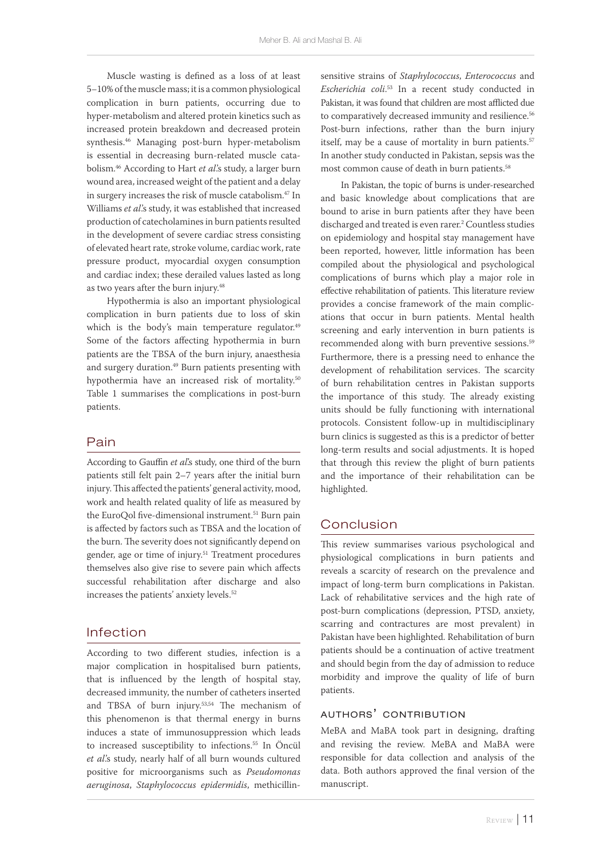Muscle wasting is defined as a loss of at least 5**–**10% of the muscle mass; it is a common physiological complication in burn patients, occurring due to hyper-metabolism and altered protein kinetics such as increased protein breakdown and decreased protein synthesis.46 Managing post-burn hyper-metabolism is essential in decreasing burn-related muscle catabolism.46 According to Hart *et al*.'s study, a larger burn wound area, increased weight of the patient and a delay in surgery increases the risk of muscle catabolism.<sup>47</sup> In Williams *et al*.'s study, it was established that increased production of catecholamines in burn patients resulted in the development of severe cardiac stress consisting of elevated heart rate, stroke volume, cardiac work, rate pressure product, myocardial oxygen consumption and cardiac index; these derailed values lasted as long as two years after the burn injury.<sup>48</sup>

Hypothermia is also an important physiological complication in burn patients due to loss of skin which is the body's main temperature regulator.<sup>49</sup> Some of the factors affecting hypothermia in burn patients are the TBSA of the burn injury, anaesthesia and surgery duration.<sup>49</sup> Burn patients presenting with hypothermia have an increased risk of mortality.<sup>50</sup> Table 1 summarises the complications in post-burn patients.

#### Pain

According to Gauffin *et al*'s study, one third of the burn patients still felt pain 2–7 years after the initial burn injury. This affected the patients' general activity, mood, work and health related quality of life as measured by the EuroQol five-dimensional instrument.<sup>51</sup> Burn pain is affected by factors such as TBSA and the location of the burn. The severity does not significantly depend on gender, age or time of injury.<sup>51</sup> Treatment procedures themselves also give rise to severe pain which affects successful rehabilitation after discharge and also increases the patients' anxiety levels.<sup>52</sup>

## Infection

According to two different studies, infection is a major complication in hospitalised burn patients, that is influenced by the length of hospital stay, decreased immunity, the number of catheters inserted and TBSA of burn injury.53,54 The mechanism of this phenomenon is that thermal energy in burns induces a state of immunosuppression which leads to increased susceptibility to infections.<sup>55</sup> In Öncül *et al*.'s study, nearly half of all burn wounds cultured positive for microorganisms such as *Pseudomonas aeruginosa*, *Staphylococcus epidermidis*, methicillinsensitive strains of *Staphylococcus*, *Enterococcus* and *Escherichia coli*. 53 In a recent study conducted in Pakistan, it was found that children are most afflicted due to comparatively decreased immunity and resilience.<sup>56</sup> Post-burn infections, rather than the burn injury itself, may be a cause of mortality in burn patients.<sup>57</sup> In another study conducted in Pakistan, sepsis was the most common cause of death in burn patients.58

In Pakistan, the topic of burns is under-researched and basic knowledge about complications that are bound to arise in burn patients after they have been discharged and treated is even rarer.2 Countless studies on epidemiology and hospital stay management have been reported, however, little information has been compiled about the physiological and psychological complications of burns which play a major role in effective rehabilitation of patients. This literature review provides a concise framework of the main complications that occur in burn patients. Mental health screening and early intervention in burn patients is recommended along with burn preventive sessions.<sup>59</sup> Furthermore, there is a pressing need to enhance the development of rehabilitation services. The scarcity of burn rehabilitation centres in Pakistan supports the importance of this study. The already existing units should be fully functioning with international protocols. Consistent follow-up in multidisciplinary burn clinics is suggested as this is a predictor of better long-term results and social adjustments. It is hoped that through this review the plight of burn patients and the importance of their rehabilitation can be highlighted.

# Conclusion

This review summarises various psychological and physiological complications in burn patients and reveals a scarcity of research on the prevalence and impact of long-term burn complications in Pakistan. Lack of rehabilitative services and the high rate of post-burn complications (depression, PTSD, anxiety, scarring and contractures are most prevalent) in Pakistan have been highlighted. Rehabilitation of burn patients should be a continuation of active treatment and should begin from the day of admission to reduce morbidity and improve the quality of life of burn patients.

#### authors' contribution

MeBA and MaBA took part in designing, drafting and revising the review. MeBA and MaBA were responsible for data collection and analysis of the data. Both authors approved the final version of the manuscript.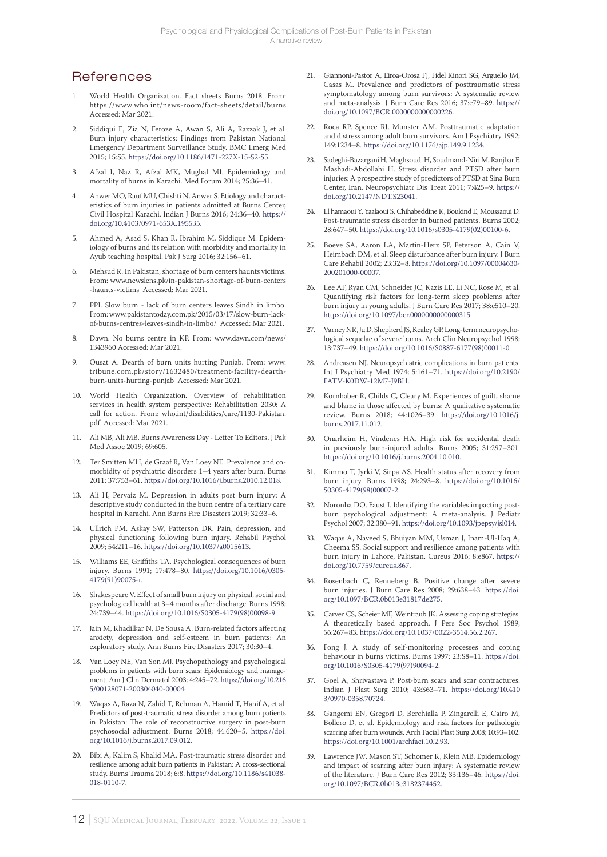# **References**

- 1. World Health Organization. Fact sheets Burns 2018. From: https://www.who.int/news-room/fact-sheets/detail/burns Accessed: Mar 2021.
- 2. Siddiqui E, Zia N, Feroze A, Awan S, Ali A, Razzak J, et al. Burn injury characteristics: Findings from Pakistan National Emergency Department Surveillance Study. BMC Emerg Med 2015; 15:S5.<https://doi.org/10.1186/1471-227X-15-S2-S5>.
- 3. Afzal I, Naz R, Afzal MK, Mughal MI. Epidemiology and mortality of burns in Karachi. Med Forum 2014; 25:36–41.
- 4. Anwer MO, Rauf MU, Chishti N, Anwer S. Etiology and characteristics of burn injuries in patients admitted at Burns Center, Civil Hospital Karachi. Indian J Burns 2016; 24:36–40. [https://](https://doi.org/10.4103/0971-653X.195535) [doi.org/10.4103/0971-653X.195535](https://doi.org/10.4103/0971-653X.195535).
- 5. Ahmed A, Asad S, Khan R, Ibrahim M, Siddique M. Epidemiology of burns and its relation with morbidity and mortality in Ayub teaching hospital. Pak J Surg 2016; 32:156–61.
- 6. Mehsud R. In Pakistan, shortage of burn centers haunts victims. From: www.newslens.pk/in-pakistan-shortage-of-burn-centers -haunts-victims Accessed: Mar 2021.
- 7. PPI. Slow burn lack of burn centers leaves Sindh in limbo. From: www.pakistantoday.com.pk/2015/03/17/slow-burn-lackof-burns-centres-leaves-sindh-in-limbo/ Accessed: Mar 2021.
- 8. Dawn. No burns centre in KP. From: www.dawn.com/news/ 1343960 Accessed: Mar 2021.
- 9. Ousat A. Dearth of burn units hurting Punjab. From: www. tribune.com.pk/story/1632480/treatment-facility-dearthburn-units-hurting-punjab Accessed: Mar 2021.
- 10. World Health Organization. Overview of rehabilitation services in health system perspective: Rehabilitation 2030: A call for action. From: who.int/disabilities/care/1130-Pakistan. pdf Accessed: Mar 2021.
- 11. Ali MB, Ali MB. Burns Awareness Day Letter To Editors. J Pak Med Assoc 2019; 69:605.
- 12. Ter Smitten MH, de Graaf R, Van Loey NE. Prevalence and comorbidity of psychiatric disorders 1–4 years after burn. Burns 2011; 37:753–61. [https://doi.org/10.1016/j.burns.2010.12.018.](https://doi.org/10.1016/j.burns.2010.12.018)
- 13. Ali H, Pervaiz M. Depression in adults post burn injury: A descriptive study conducted in the burn centre of a tertiary care hospital in Karachi. Ann Burns Fire Disasters 2019; 32:33–6.
- 14. Ullrich PM, Askay SW, Patterson DR. Pain, depression, and physical functioning following burn injury. Rehabil Psychol 2009; 54:211–16. <https://doi.org/10.1037/a0015613>.
- 15. Williams EE, Griffiths TA. Psychological consequences of burn injury. Burns 1991; 17:478–80. [https://doi.org/10.1016/0305-](https://doi.org/10.1016/0305-4179(91)90075-r) [4179\(91\)90075-r](https://doi.org/10.1016/0305-4179(91)90075-r).
- 16. Shakespeare V. Effect of small burn injury on physical, social and psychological health at 3–4 months after discharge. Burns 1998; 24:739–44. [https://doi.org/10.1016/S0305-4179\(98\)00098-9](https://doi.org/10.1016/S0305-4179(98)00098-9).
- 17. Jain M, Khadilkar N, De Sousa A. Burn-related factors affecting anxiety, depression and self-esteem in burn patients: An exploratory study. Ann Burns Fire Disasters 2017; 30:30–4.
- 18. Van Loey NE, Van Son MJ. Psychopathology and psychological problems in patients with burn scars: Epidemiology and management. Am J Clin Dermatol 2003; 4:245–72. [https://doi.org/10.216](https://doi.org/10.2165/00128071-200304040-00004) [5/00128071-200304040-00004.](https://doi.org/10.2165/00128071-200304040-00004)
- 19. Waqas A, Raza N, Zahid T, Rehman A, Hamid T, Hanif A, et al. Predictors of post-traumatic stress disorder among burn patients in Pakistan: The role of reconstructive surgery in post-burn psychosocial adjustment. Burns 2018; 44:620–5. [https://doi.](https://doi.org/10.1016/j.burns.2017.09.012) [org/10.1016/j.burns.2017.09.012.](https://doi.org/10.1016/j.burns.2017.09.012)
- 20. Bibi A, Kalim S, Khalid MA. Post-traumatic stress disorder and resilience among adult burn patients in Pakistan: A cross-sectional study. Burns Trauma 2018; 6:8. [https://doi.org/10.1186/s41038-](https://doi.org/10.1186/s41038-018-0110-7) [018-0110-7.](https://doi.org/10.1186/s41038-018-0110-7)
- 21. Giannoni-Pastor A, Eiroa-Orosa FJ, Fidel Kinori SG, Arguello JM, Casas M. Prevalence and predictors of posttraumatic stress symptomatology among burn survivors: A systematic review and meta-analysis. J Burn Care Res 2016; 37:e79–89. [https://](https://doi.org/10.1097/BCR.0000000000000226) [doi.org/10.1097/BCR.0000000000000226.](https://doi.org/10.1097/BCR.0000000000000226)
- 22. Roca RP, Spence RJ, Munster AM. Posttraumatic adaptation and distress among adult burn survivors. Am J Psychiatry 1992; 149:1234–8. [https://doi.org/10.1176/ajp.149.9.1234.](https://doi.org/10.1176/ajp.149.9.1234)
- 23. Sadeghi-Bazargani H, Maghsoudi H, Soudmand-Niri M, Ranjbar F, Mashadi-Abdollahi H. Stress disorder and PTSD after burn injuries: A prospective study of predictors of PTSD at Sina Burn Center, Iran. Neuropsychiatr Dis Treat 2011; 7:425–9. [https://](https://doi.org/10.2147/NDT.S23041) [doi.org/10.2147/NDT.S23041.](https://doi.org/10.2147/NDT.S23041)
- 24. El hamaoui Y, Yaalaoui S, Chihabeddine K, Boukind E, Moussaoui D. Post-traumatic stress disorder in burned patients. Burns 2002; 28:647–50. [https://doi.org/10.1016/s0305-4179\(02\)00100-6.](https://doi.org/10.1016/s0305-4179(02)00100-6)
- 25. Boeve SA, Aaron LA, Martin-Herz SP, Peterson A, Cain V, Heimbach DM, et al. Sleep disturbance after burn injury. J Burn Care Rehabil 2002; 23:32–8. [https://doi.org/10.1097/00004630-](https://doi.org/10.1097/00004630-200201000-00007) [200201000-00007.](https://doi.org/10.1097/00004630-200201000-00007)
- 26. Lee AF, Ryan CM, Schneider JC, Kazis LE, Li NC, Rose M, et al. Quantifying risk factors for long-term sleep problems after burn injury in young adults. J Burn Care Res 2017; 38:e510–20. <https://doi.org/10.1097/bcr.0000000000000315>.
- Varney NR, Ju D, Shepherd JS, Kealey GP. Long-term neuropsychological sequelae of severe burns. Arch Clin Neuropsychol 1998; 13:737–49. [https://doi.org/10.1016/S0887-6177\(98\)00011-0.](https://doi.org/10.1016/S0887-6177(98)00011-0)
- Andreasen NJ. Neuropsychiatric complications in burn patients. Int J Psychiatry Med 1974; 5:161–71. [https://doi.org/10.2190/](https://doi.org/10.2190/FATV-K0DW-12M7-J9BH) [FATV-K0DW-12M7-J9BH.](https://doi.org/10.2190/FATV-K0DW-12M7-J9BH)
- 29. Kornhaber R, Childs C, Cleary M. Experiences of guilt, shame and blame in those affected by burns: A qualitative systematic review. Burns 2018; 44:1026–39. [https://doi.org/10.1016/j.](https://doi.org/10.1016/j.burns.2017.11.012) [burns.2017.11.012.](https://doi.org/10.1016/j.burns.2017.11.012)
- 30. Onarheim H, Vindenes HA. High risk for accidental death in previously burn-injured adults. Burns 2005; 31:297–301. [https://doi.org/10.1016/j.burns.2004.10.010.](https://doi.org/10.1016/j.burns.2004.10.010)
- 31. Kimmo T, Jyrki V, Sirpa AS. Health status after recovery from burn injury. Burns 1998; 24:293–8. [https://doi.org/10.1016/](https://doi.org/10.1016/S0305-4179(98)00007-2) [S0305-4179\(98\)00007-2.](https://doi.org/10.1016/S0305-4179(98)00007-2)
- Noronha DO, Faust J. Identifying the variables impacting postburn psychological adjustment: A meta-analysis. J Pediatr Psychol 2007; 32:380–91.<https://doi.org/10.1093/jpepsy/jsl014>.
- 33. Waqas A, Naveed S, Bhuiyan MM, Usman J, Inam-Ul-Haq A, Cheema SS. Social support and resilience among patients with burn injury in Lahore, Pakistan. Cureus 2016; 8:e867. [https://](https://doi.org/10.7759/cureus.867) [doi.org/10.7759/cureus.867.](https://doi.org/10.7759/cureus.867)
- 34. Rosenbach C, Renneberg B. Positive change after severe burn injuries. J Burn Care Res 2008; 29:638–43. [https://doi.](https://doi.org/10.1097/BCR.0b013e31817de275) [org/10.1097/BCR.0b013e31817de275](https://doi.org/10.1097/BCR.0b013e31817de275).
- 35. Carver CS, Scheier MF, Weintraub JK. Assessing coping strategies: A theoretically based approach. J Pers Soc Psychol 1989; 56:267–83. [https://doi.org/10.1037/0022-3514.56.2.267.](https://doi.org/10.1037/0022-3514.56.2.267)
- 36. Fong J. A study of self-monitoring processes and coping behaviour in burns victims. Burns 1997; 23:S8–11. [https://doi.](https://doi.org/10.1016/S0305-4179(97)90094-2) [org/10.1016/S0305-4179\(97\)90094-2](https://doi.org/10.1016/S0305-4179(97)90094-2).
- 37. Goel A, Shrivastava P. Post-burn scars and scar contractures. Indian J Plast Surg 2010; 43:S63–71. [https://doi.org/10.410](https://doi.org/10.4103/0970-0358.70724) [3/0970-0358.70724](https://doi.org/10.4103/0970-0358.70724).
- 38. Gangemi EN, Gregori D, Berchialla P, Zingarelli E, Cairo M, Bollero D, et al. Epidemiology and risk factors for pathologic scarring after burn wounds. Arch Facial Plast Surg 2008; 10:93–102. [https://doi.org/10.1001/archfaci.10.2.93.](https://doi.org/10.1001/archfaci.10.2.93)
- 39. Lawrence JW, Mason ST, Schomer K, Klein MB. Epidemiology and impact of scarring after burn injury: A systematic review of the literature. J Burn Care Res 2012; 33:136–46. [https://doi.](https://doi.org/10.1097/BCR.0b013e3182374452) [org/10.1097/BCR.0b013e3182374452](https://doi.org/10.1097/BCR.0b013e3182374452).